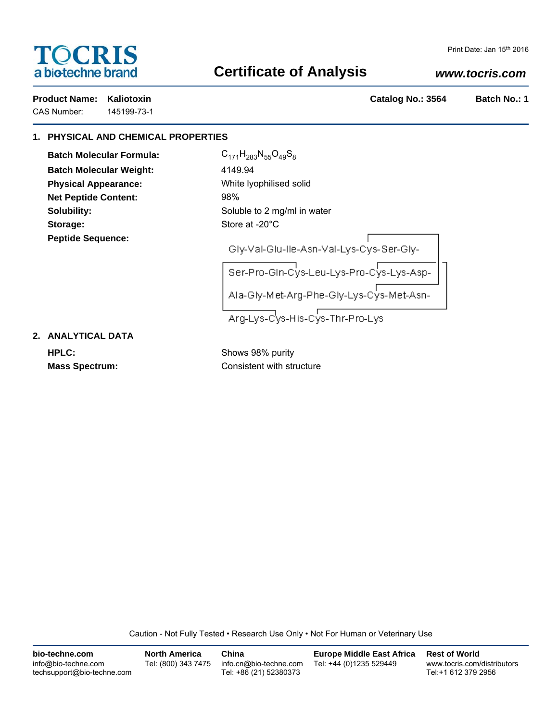# **TOCRIS** a biotechne brand

## **Certificate of Analysis**

## *www.tocris.com*

CAS Number: 145199-73-1

**Product Name: Kaliotoxin Catalog No.: 3564 Batch No.: 1**

### **1. PHYSICAL AND CHEMICAL PROPERTIES**

**Batch Molecular Formula:** C<sub>171</sub>H<sub>283</sub>N<sub>55</sub>O<sub>49</sub>S<sub>8</sub> **Batch Molecular Weight:** 4149.94 **Physical Appearance:** White lyophilised solid **Net Peptide Content:** 98% Storage: Storage: Store at -20°C **Peptide Sequence:**

**Solubility:** Soluble to 2 mg/ml in water

Gly-Val-Glu-Ile-Asn-Val-Lys-Cys-Ser-Gly-

Ser-Pro-Gln-Cys-Leu-Lys-Pro-Cys-Lys-Asp-Ala-Gly-Met-Arg-Phe-Gly-Lys-Cys-Met-Asn-

Arg-Lys-Cys-His-Cys-Thr-Pro-Lys

**2. ANALYTICAL DATA**

**HPLC:** Shows 98% purity

**Mass Spectrum:** Consistent with structure

Caution - Not Fully Tested • Research Use Only • Not For Human or Veterinary Use

| bio-techne.com                                    | <b>North America</b> | China                                            | <b>Europe Middle East Africa</b> | <b>Rest of World</b>                               |
|---------------------------------------------------|----------------------|--------------------------------------------------|----------------------------------|----------------------------------------------------|
| info@bio-techne.com<br>techsupport@bio-techne.com | Tel: (800) 343 7475  | info.cn@bio-techne.com<br>Tel: +86 (21) 52380373 | Tel: +44 (0)1235 529449          | www.tocris.com/distributors<br>Tel:+1 612 379 2956 |